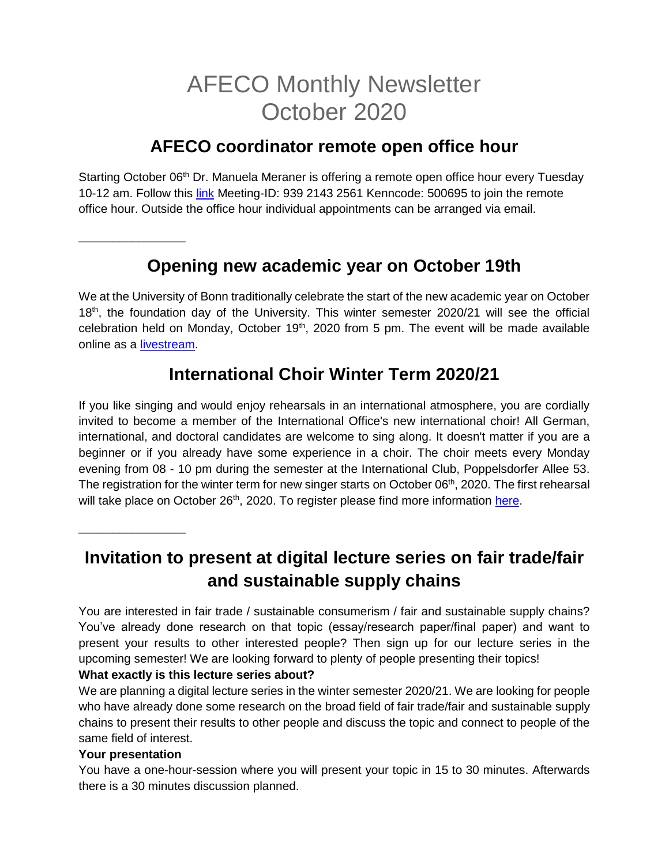# AFECO Monthly Newsletter October 2020

### **AFECO coordinator remote open office hour**

Starting October 06<sup>th</sup> Dr. Manuela Meraner is offering a remote open office hour every Tuesday 10-12 am. Follow this [link](https://uni-bonn.zoom.us/j/93921432561?pwd=U2NDYVNabjExMmpKaFNNbHIvRWpWZz09) Meeting-ID: 939 2143 2561 Kenncode: 500695 to join the remote office hour. Outside the office hour individual appointments can be arranged via email.

# **Opening new academic year on October 19th**

We at the University of Bonn traditionally celebrate the start of the new academic year on October 18<sup>th</sup>, the foundation day of the University. This winter semester 2020/21 will see the official celebration held on Monday, October 19<sup>th</sup>, 2020 from 5 pm. The event will be made available online as a [livestream.](https://www.uni-bonn.de/the-university/events/eroeffnung-des-akademischen-jahres?set_language=en)

### **International Choir Winter Term 2020/21**

If you like singing and would enjoy rehearsals in an international atmosphere, you are cordially invited to become a member of the International Office's new international choir! All German, international, and doctoral candidates are welcome to sing along. It doesn't matter if you are a beginner or if you already have some experience in a choir. The choir meets every Monday evening from 08 - 10 pm during the semester at the International Club, Poppelsdorfer Allee 53. The registration for the winter term for new singer starts on October 06<sup>th</sup>, 2020. The first rehearsal will take place on October 26<sup>th</sup>, 2020. To register please find more information [here.](https://www.uni-bonn.de/studium/studium-in-bonn-fuer-internationale-studierende/betreuung-auslaendischer-studierender/international-choir?set_language=en)

**Invitation to present at digital lecture series on fair trade/fair and sustainable supply chains**

You are interested in fair trade / sustainable consumerism / fair and sustainable supply chains? You've already done research on that topic (essay/research paper/final paper) and want to present your results to other interested people? Then sign up for our lecture series in the upcoming semester! We are looking forward to plenty of people presenting their topics!

### **What exactly is this lecture series about?**

We are planning a digital lecture series in the winter semester 2020/21. We are looking for people who have already done some research on the broad field of fair trade/fair and sustainable supply chains to present their results to other people and discuss the topic and connect to people of the same field of interest.

### **Your presentation**

\_\_\_\_\_\_\_\_\_\_\_\_\_\_\_\_

\_\_\_\_\_\_\_\_\_\_\_\_\_\_\_\_

You have a one-hour-session where you will present your topic in 15 to 30 minutes. Afterwards there is a 30 minutes discussion planned.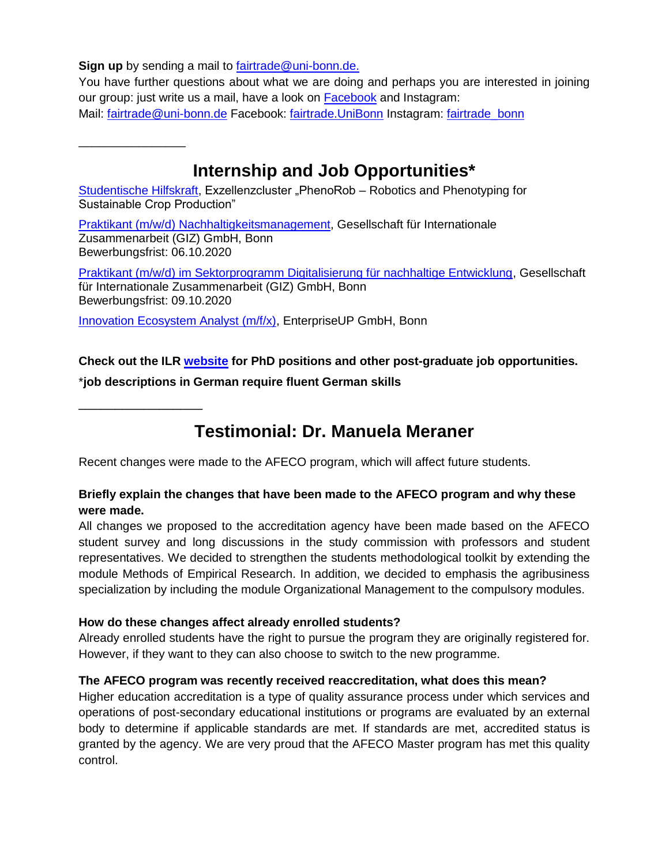**Sign up** by sending a mail to [fairtrade@uni-bonn.de.](mailto:fairtrade@uni-bonn.de)

You have further questions about what we are doing and perhaps you are interested in joining our group: just write us a mail, have a look on [Facebook](https://www.facebook.com/fairtrade.UniBonn/) and Instagram: Mail: [fairtrade@uni-bonn.de](mailto:fairtrade@uni-bonn.de) Facebook: [fairtrade.UniBonn](https://www.facebook.com/fairtrade.UniBonn) Instagram: fairtrade\_bonn

**Internship and Job Opportunities\***

[Studentische Hilfskraft,](https://www.ilr1.uni-bonn.de/de/jobs/2020-08-12-hiwi-ausschreibung.pdf) Exzellenzcluster "PhenoRob - Robotics and Phenotyping for Sustainable Crop Production"

[Praktikant \(m/w/d\) Nachhaltigkeitsmanagement,](https://jobs.giz.de/index.php?ac=jobad&id=51521) Gesellschaft für Internationale Zusammenarbeit (GIZ) GmbH, Bonn Bewerbungsfrist: 06.10.2020

[Praktikant \(m/w/d\) im Sektorprogramm Digitalisierung für nachhaltige Entwicklung,](https://jobs.giz.de/index.php?ac=jobad&id=51602) Gesellschaft für Internationale Zusammenarbeit (GIZ) GmbH, Bonn Bewerbungsfrist: 09.10.2020

[Innovation Ecosystem Analyst \(m/f/x\),](https://corporateinnovators.eu/wp-content/uploads/2020/08/Innovation-Ecosystem-Analyst.pdf) EnterpriseUP GmbH, Bonn

**Check out the ILR [website](https://www.ilr1.uni-bonn.de/de/jobs/stellenanzeigen) for PhD positions and other post-graduate job opportunities.**

\***job descriptions in German require fluent German skills**

\_\_\_\_\_\_\_\_\_\_\_\_\_\_\_\_\_

\_\_\_\_\_\_\_\_\_\_\_\_\_\_\_\_

## **Testimonial: Dr. Manuela Meraner**

Recent changes were made to the AFECO program, which will affect future students.

### **Briefly explain the changes that have been made to the AFECO program and why these were made.**

All changes we proposed to the accreditation agency have been made based on the AFECO student survey and long discussions in the study commission with professors and student representatives. We decided to strengthen the students methodological toolkit by extending the module Methods of Empirical Research. In addition, we decided to emphasis the agribusiness specialization by including the module Organizational Management to the compulsory modules.

### **How do these changes affect already enrolled students?**

Already enrolled students have the right to pursue the program they are originally registered for. However, if they want to they can also choose to switch to the new programme.

### **The AFECO program was recently received reaccreditation, what does this mean?**

Higher education accreditation is a type of quality assurance process under which services and operations of post-secondary educational institutions or programs are evaluated by an external body to determine if applicable standards are met. If standards are met, accredited status is granted by the agency. We are very proud that the AFECO Master program has met this quality control.